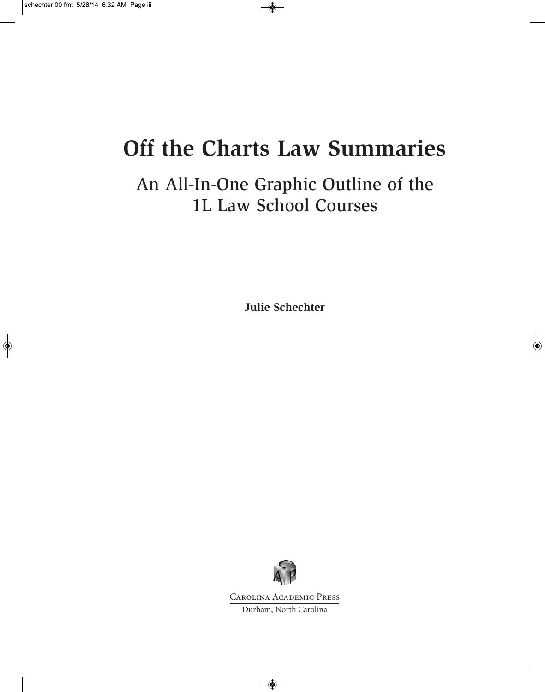# **Off the Charts Law Summaries**

### An All-In-One Graphic Outline of the 1L Law School Courses

**Julie Schechter**



Carolina Academic Press

Durham, North Carolina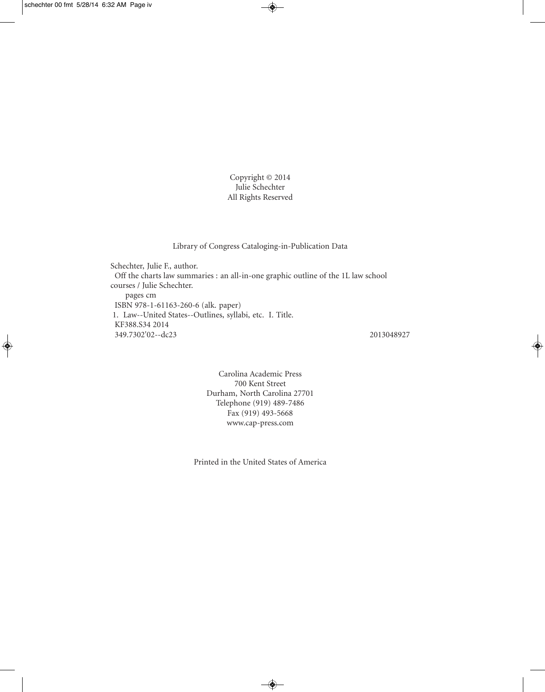Copyright © 2014 Julie Schechter All Rights Reserved

Library of Congress Cataloging-in-Publication Data

Schechter, Julie F., author. Off the charts law summaries : an all-in-one graphic outline of the 1L law school courses / Julie Schechter. pages cm ISBN 978-1-61163-260-6 (alk. paper) 1. Law--United States--Outlines, syllabi, etc. I. Title. KF388.S34 2014 349.7302'02--dc23 2013048927

Carolina Academic Press 700 Kent Street Durham, North Carolina 27701 Telephone (919) 489-7486 Fax (919) 493-5668 www.cap-press.com

Printed in the United States of America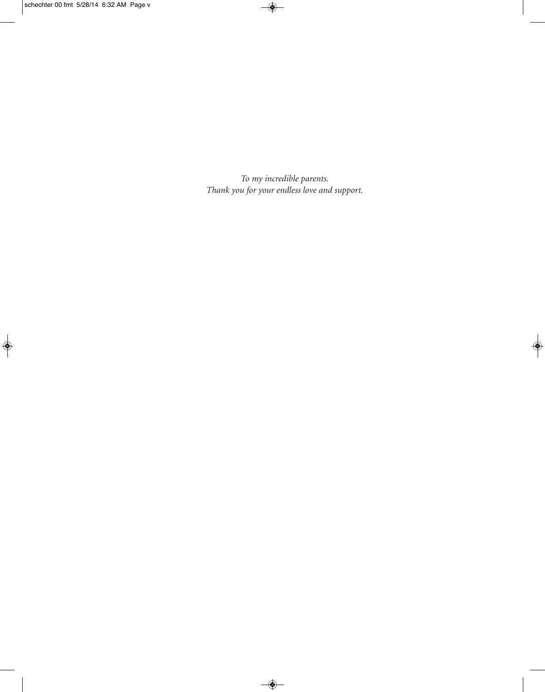*To my incredible parents. Thank you for your endless love and support.*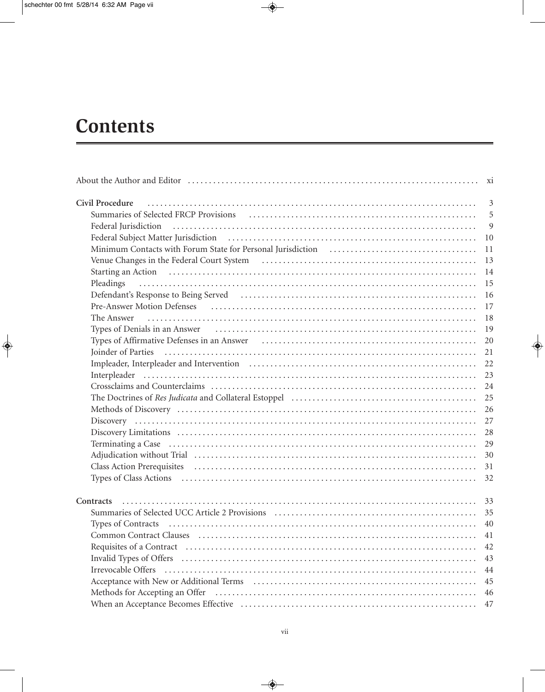## **Contents**

| Civil Procedure                                                                                                                                                                                                                | $\overline{3}$ |
|--------------------------------------------------------------------------------------------------------------------------------------------------------------------------------------------------------------------------------|----------------|
|                                                                                                                                                                                                                                | 5              |
| Federal Jurisdiction                                                                                                                                                                                                           | 9              |
|                                                                                                                                                                                                                                | 10             |
|                                                                                                                                                                                                                                | 11             |
|                                                                                                                                                                                                                                | 13             |
|                                                                                                                                                                                                                                |                |
| Pleadings                                                                                                                                                                                                                      | 15             |
| Defendant's Response to Being Served (and the context of the served of the served of the served served served served served and served served served served served served served served served served served served served ser | 16             |
|                                                                                                                                                                                                                                | 17             |
| The Answer                                                                                                                                                                                                                     | 18             |
|                                                                                                                                                                                                                                | 19             |
|                                                                                                                                                                                                                                | 20             |
|                                                                                                                                                                                                                                | 21             |
|                                                                                                                                                                                                                                | 22             |
|                                                                                                                                                                                                                                | 23             |
|                                                                                                                                                                                                                                | 24             |
| The Doctrines of Res Judicata and Collateral Estoppel (and an according contract of Res Judicata and Collateral Estoppel (and according continuous control of Res Judicata and Collateral Estoppel (and according control of R | 25             |
|                                                                                                                                                                                                                                | 26             |
|                                                                                                                                                                                                                                | 27             |
|                                                                                                                                                                                                                                | 28             |
|                                                                                                                                                                                                                                | 29             |
|                                                                                                                                                                                                                                | 30             |
|                                                                                                                                                                                                                                |                |
| Types of Class Actions (also continued as a control of the control of the control of the control of the control of the control of the control of the control of the control of the control of the control of the control of th |                |
|                                                                                                                                                                                                                                |                |
| Contracts                                                                                                                                                                                                                      |                |
|                                                                                                                                                                                                                                |                |
|                                                                                                                                                                                                                                |                |
| Common Contract Clauses (all contract clauses of all contract clauses of all contract clauses of all contract clauses (all contract clauses of all contract clauses of all contract clauses of all contract clauses of all con | 41             |
|                                                                                                                                                                                                                                | 42             |
|                                                                                                                                                                                                                                | 43             |
|                                                                                                                                                                                                                                | 44             |
|                                                                                                                                                                                                                                | 45             |
|                                                                                                                                                                                                                                | 46             |
|                                                                                                                                                                                                                                | 47             |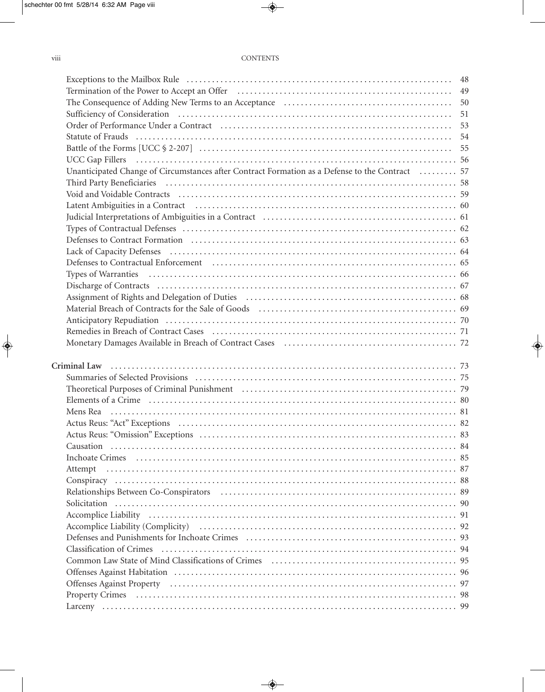| Termination of the Power to Accept an Offer (and acceptance of the Asseman Assembly) and the Power to Accept an Offer (and acceptance of the Asseman Asseman Asseman Asseman Asseman Asseman Asseman Asseman Asseman Asseman A |    |
|--------------------------------------------------------------------------------------------------------------------------------------------------------------------------------------------------------------------------------|----|
|                                                                                                                                                                                                                                | 50 |
| Sufficiency of Consideration (and according to the control of the control of Consideration (and according to the control of the control of the control of the control of the control of the control of the control of the cont | 51 |
| Order of Performance Under a Contract (and the contract of the contract of the contract of the contract of the contract of the contract of the contract of the contract of the contract of the contract of the contract of the |    |
|                                                                                                                                                                                                                                |    |
|                                                                                                                                                                                                                                |    |
|                                                                                                                                                                                                                                |    |
| Unanticipated Change of Circumstances after Contract Formation as a Defense to the Contract  57                                                                                                                                |    |
|                                                                                                                                                                                                                                |    |
| Void and Voidable Contracts (all contracts of the contracts of the contracts of the contracts of the contracts                                                                                                                 |    |
|                                                                                                                                                                                                                                |    |
|                                                                                                                                                                                                                                |    |
|                                                                                                                                                                                                                                |    |
|                                                                                                                                                                                                                                |    |
|                                                                                                                                                                                                                                |    |
| Defenses to Contractual Enforcement (and the contractual enforcement of 55). The contractual enforcement (b) and the contractual enforcement (c) and the contractual enforcement (c) and the contractual enforcement (c) and t |    |
|                                                                                                                                                                                                                                |    |
|                                                                                                                                                                                                                                |    |
|                                                                                                                                                                                                                                |    |
|                                                                                                                                                                                                                                |    |
|                                                                                                                                                                                                                                |    |
|                                                                                                                                                                                                                                |    |
| Monetary Damages Available in Breach of Contract Cases (and accordinate contract material and 72                                                                                                                               |    |
|                                                                                                                                                                                                                                |    |
|                                                                                                                                                                                                                                |    |
|                                                                                                                                                                                                                                |    |
|                                                                                                                                                                                                                                |    |
| Theoretical Purposes of Criminal Punishment (and all continuous control of the control of the control of the control of the control of the control of the control of the control of the control of the control of the control  |    |
|                                                                                                                                                                                                                                |    |
|                                                                                                                                                                                                                                |    |
|                                                                                                                                                                                                                                |    |
|                                                                                                                                                                                                                                |    |
|                                                                                                                                                                                                                                |    |
|                                                                                                                                                                                                                                |    |
| Attempt                                                                                                                                                                                                                        |    |
|                                                                                                                                                                                                                                |    |
|                                                                                                                                                                                                                                |    |
|                                                                                                                                                                                                                                |    |
|                                                                                                                                                                                                                                |    |
|                                                                                                                                                                                                                                |    |
|                                                                                                                                                                                                                                |    |
|                                                                                                                                                                                                                                |    |
|                                                                                                                                                                                                                                |    |
|                                                                                                                                                                                                                                |    |
|                                                                                                                                                                                                                                |    |
|                                                                                                                                                                                                                                |    |
|                                                                                                                                                                                                                                |    |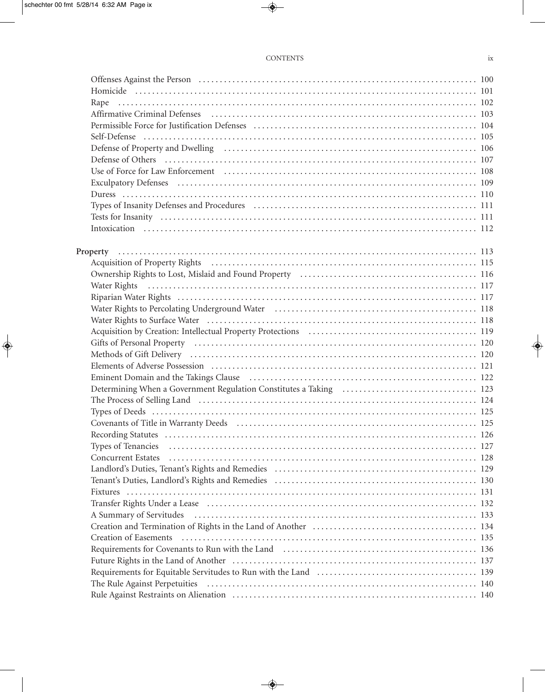#### CONTENTS ix

| Offenses Against the Person (a) contain the control of the Person (a) and the Person (b) and the Person (b) and the Person (b) and the Person (b) and the Person (b) and the Person (b) and the Person (b) and the Person (b)  |  |
|--------------------------------------------------------------------------------------------------------------------------------------------------------------------------------------------------------------------------------|--|
|                                                                                                                                                                                                                                |  |
|                                                                                                                                                                                                                                |  |
|                                                                                                                                                                                                                                |  |
|                                                                                                                                                                                                                                |  |
|                                                                                                                                                                                                                                |  |
|                                                                                                                                                                                                                                |  |
|                                                                                                                                                                                                                                |  |
| Use of Force for Law Enforcement (and according to the USE) 108                                                                                                                                                                |  |
|                                                                                                                                                                                                                                |  |
|                                                                                                                                                                                                                                |  |
|                                                                                                                                                                                                                                |  |
|                                                                                                                                                                                                                                |  |
|                                                                                                                                                                                                                                |  |
|                                                                                                                                                                                                                                |  |
|                                                                                                                                                                                                                                |  |
|                                                                                                                                                                                                                                |  |
| Ownership Rights to Lost, Mislaid and Found Property (Changel Community) 116                                                                                                                                                   |  |
| Water Rights (a) in the contract of the contract of the contract of the contract of the contract of the contract of the contract of the contract of the contract of the contract of the contract of the contract of the contra |  |
|                                                                                                                                                                                                                                |  |
| Water Rights to Percolating Underground Water (and all contracts) was extended to the Percolating Underground Water (and all contracts) and the Rights to Percolating Underground Water (and all contracts) and the Rights and |  |
|                                                                                                                                                                                                                                |  |
|                                                                                                                                                                                                                                |  |
|                                                                                                                                                                                                                                |  |
|                                                                                                                                                                                                                                |  |
|                                                                                                                                                                                                                                |  |
| Eminent Domain and the Takings Clause (and according to the Marian March 122)                                                                                                                                                  |  |
|                                                                                                                                                                                                                                |  |
|                                                                                                                                                                                                                                |  |
|                                                                                                                                                                                                                                |  |
|                                                                                                                                                                                                                                |  |
|                                                                                                                                                                                                                                |  |
|                                                                                                                                                                                                                                |  |
| <b>Concurrent Estates</b>                                                                                                                                                                                                      |  |
|                                                                                                                                                                                                                                |  |
|                                                                                                                                                                                                                                |  |
|                                                                                                                                                                                                                                |  |
|                                                                                                                                                                                                                                |  |
|                                                                                                                                                                                                                                |  |
|                                                                                                                                                                                                                                |  |
| <b>Creation of Easements</b>                                                                                                                                                                                                   |  |
|                                                                                                                                                                                                                                |  |
|                                                                                                                                                                                                                                |  |
|                                                                                                                                                                                                                                |  |
|                                                                                                                                                                                                                                |  |
| Rule Against Restraints on Alienation (and according to the control of the Against Restraints on Alienation (and according to the Against Restraints on Alienation (and according to the Against Against Against Against Again |  |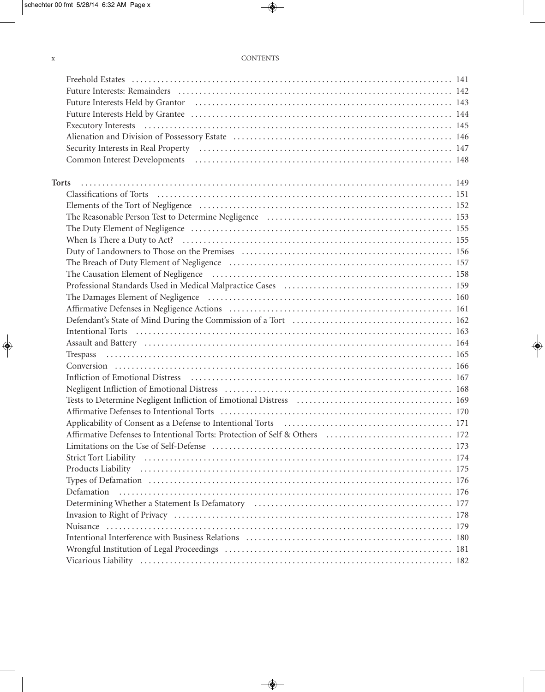### x CONTENTS

| Freehold Estates (a) respectively and the control of the state of the state of the states (a) and the state of the state of the state of the state of the state of the state of the state of the state of the state of the sta |  |
|--------------------------------------------------------------------------------------------------------------------------------------------------------------------------------------------------------------------------------|--|
|                                                                                                                                                                                                                                |  |
|                                                                                                                                                                                                                                |  |
|                                                                                                                                                                                                                                |  |
|                                                                                                                                                                                                                                |  |
| Alienation and Division of Possessory Estate (and all contracts) and all also and Division of Possessory Estate (and all contracts) and all also and the 146                                                                   |  |
| Security Interests in Real Property (and according to the control of the security Interests in Real Property (b) and the security of the second security of the second security of the second second second second second seco |  |
|                                                                                                                                                                                                                                |  |
| <b>Torts</b>                                                                                                                                                                                                                   |  |
|                                                                                                                                                                                                                                |  |
|                                                                                                                                                                                                                                |  |
| The Reasonable Person Test to Determine Negligence (and accordinate contract to the 153                                                                                                                                        |  |
|                                                                                                                                                                                                                                |  |
|                                                                                                                                                                                                                                |  |
|                                                                                                                                                                                                                                |  |
|                                                                                                                                                                                                                                |  |
|                                                                                                                                                                                                                                |  |
|                                                                                                                                                                                                                                |  |
|                                                                                                                                                                                                                                |  |
|                                                                                                                                                                                                                                |  |
|                                                                                                                                                                                                                                |  |
|                                                                                                                                                                                                                                |  |
|                                                                                                                                                                                                                                |  |
|                                                                                                                                                                                                                                |  |
|                                                                                                                                                                                                                                |  |
|                                                                                                                                                                                                                                |  |
|                                                                                                                                                                                                                                |  |
|                                                                                                                                                                                                                                |  |
|                                                                                                                                                                                                                                |  |
|                                                                                                                                                                                                                                |  |
|                                                                                                                                                                                                                                |  |
|                                                                                                                                                                                                                                |  |
|                                                                                                                                                                                                                                |  |
| Products Liability (also contain the control of the control of the control of the control of the control of the control of the control of the control of the control of the control of the control of the control of the contr |  |
|                                                                                                                                                                                                                                |  |
| Defamation                                                                                                                                                                                                                     |  |
|                                                                                                                                                                                                                                |  |
|                                                                                                                                                                                                                                |  |
|                                                                                                                                                                                                                                |  |
|                                                                                                                                                                                                                                |  |
|                                                                                                                                                                                                                                |  |
|                                                                                                                                                                                                                                |  |